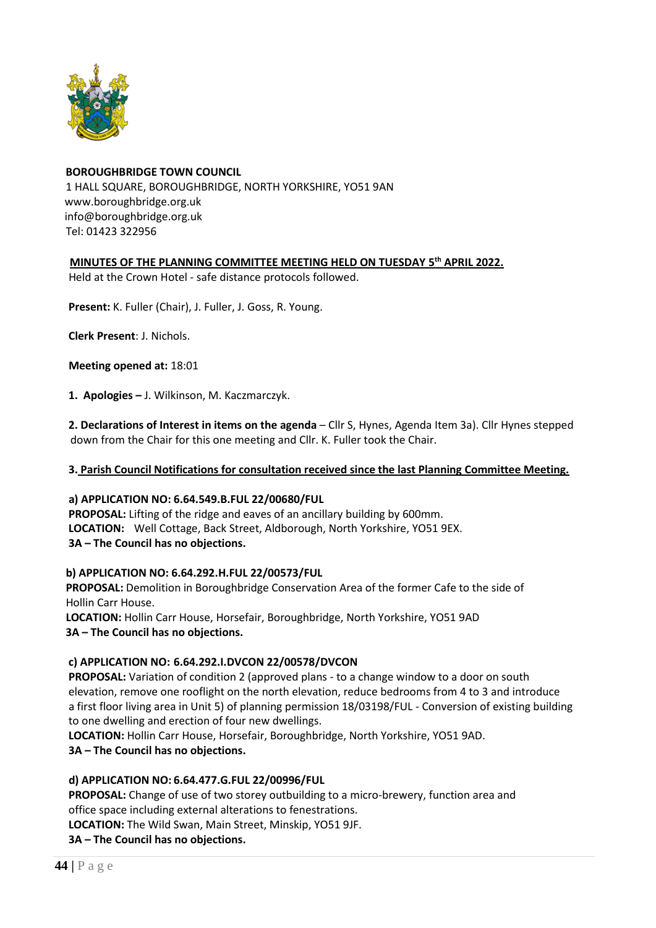

# **BOROUGHBRIDGE TOWN COUNCIL** 1 HALL SQUARE, BOROUGHBRIDGE, NORTH YORKSHIRE, YO51 9AN [www.boroughbridge.org.uk](http://www.boroughbridge.org.uk/) [info@boroughbridge.org.uk](mailto:info@boroughbridge.org.uk) Tel: 01423 322956

## **MINUTES OF THE PLANNING COMMITTEE MEETING HELD ON TUESDAY 5 th APRIL 2022.**

Held at the Crown Hotel - safe distance protocols followed.

 **Present:** K. Fuller (Chair), J. Fuller, J. Goss, R. Young.

 **Clerk Present**: J. Nichols.

 **Meeting opened at:** 18:01

 **1. Apologies –** J. Wilkinson, M. Kaczmarczyk.

 **2. Declarations of Interest in items on the agenda** – Cllr S, Hynes, Agenda Item 3a). Cllr Hynes stepped down from the Chair for this one meeting and Cllr. K. Fuller took the Chair.

#### **3. Parish Council Notifications for consultation received since the last Planning Committee Meeting.**

#### **a) APPLICATION NO: 6.64.549.B.FUL 22/00680/FUL**

 **PROPOSAL:** Lifting of the ridge and eaves of an ancillary building by 600mm.  **LOCATION:** Well Cottage, Back Street, Aldborough, North Yorkshire, YO51 9EX. **3A – The Council has no objections.** 

#### **b) APPLICATION NO: 6.64.292.H.FUL 22/00573/FUL**

 **PROPOSAL:** Demolition in Boroughbridge Conservation Area of the former Cafe to the side of Hollin Carr House.

 **LOCATION:** Hollin Carr House, Horsefair, Boroughbridge, North Yorkshire, YO51 9AD **3A – The Council has no objections.** 

## **c) APPLICATION NO: 6.64.292.I.DVCON 22/00578/DVCON**

**PROPOSAL:** Variation of condition 2 (approved plans - to a change window to a door on south elevation, remove one rooflight on the north elevation, reduce bedrooms from 4 to 3 and introduce a first floor living area in Unit 5) of planning permission 18/03198/FUL - Conversion of existing building to one dwelling and erection of four new dwellings.

 **LOCATION:** Hollin Carr House, Horsefair, Boroughbridge, North Yorkshire, YO51 9AD.

**3A – The Council has no objections.** 

## **d) APPLICATION NO: 6.64.477.G.FUL 22/00996/FUL**

 **PROPOSAL:** Change of use of two storey outbuilding to a micro-brewery, function area and office space including external alterations to fenestrations.

 **LOCATION:** The Wild Swan, Main Street, Minskip, YO51 9JF.

**3A – The Council has no objections.**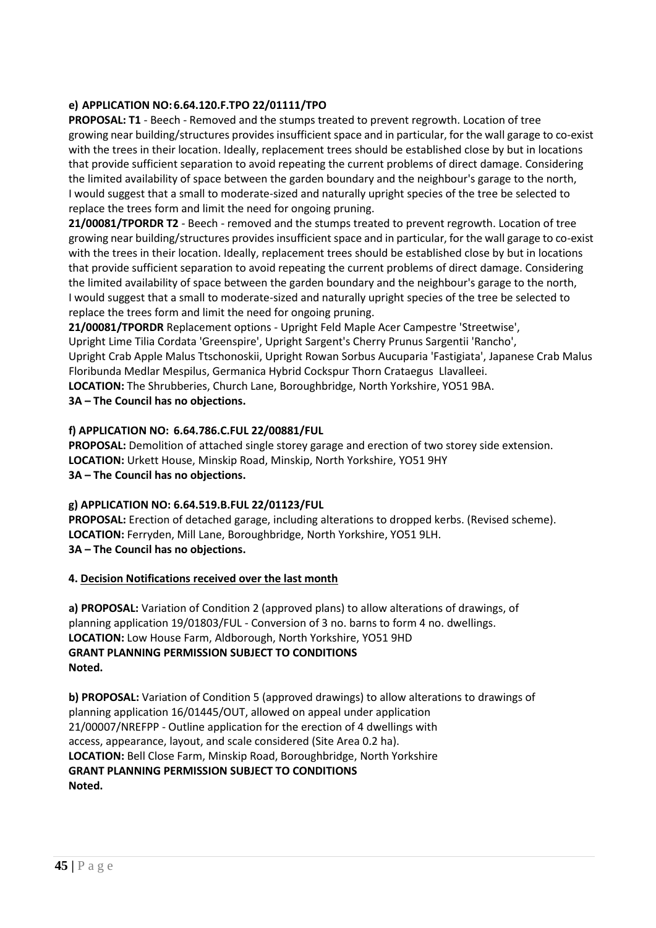## **e) APPLICATION NO: 6.64.120.F.TPO 22/01111/TPO**

 **PROPOSAL: T1** - Beech - Removed and the stumps treated to prevent regrowth. Location of tree growing near building/structures provides insufficient space and in particular, for the wall garage to co-exist with the trees in their location. Ideally, replacement trees should be established close by but in locations that provide sufficient separation to avoid repeating the current problems of direct damage. Considering the limited availability of space between the garden boundary and the neighbour's garage to the north, I would suggest that a small to moderate-sized and naturally upright species of the tree be selected to replace the trees form and limit the need for ongoing pruning.

 **21/00081/TPORDR T2** - Beech - removed and the stumps treated to prevent regrowth. Location of tree growing near building/structures provides insufficient space and in particular, for the wall garage to co-exist with the trees in their location. Ideally, replacement trees should be established close by but in locations that provide sufficient separation to avoid repeating the current problems of direct damage. Considering the limited availability of space between the garden boundary and the neighbour's garage to the north, I would suggest that a small to moderate-sized and naturally upright species of the tree be selected to replace the trees form and limit the need for ongoing pruning.

**21/00081/TPORDR** Replacement options - Upright Feld Maple Acer Campestre 'Streetwise',

Upright Lime Tilia Cordata 'Greenspire', Upright Sargent's Cherry Prunus Sargentii 'Rancho',

 Upright Crab Apple Malus Ttschonoskii, Upright Rowan Sorbus Aucuparia 'Fastigiata', Japanese Crab Malus Floribunda Medlar Mespilus, Germanica Hybrid Cockspur Thorn Crataegus Llavalleei.

 **LOCATION:** The Shrubberies, Church Lane, Boroughbridge, North Yorkshire, YO51 9BA.

## **3A – The Council has no objections.**

#### **f) APPLICATION NO: 6.64.786.C.FUL 22/00881/FUL**

 **PROPOSAL:** Demolition of attached single storey garage and erection of two storey side extension.  **LOCATION:** Urkett House, Minskip Road, Minskip, North Yorkshire, YO51 9HY  **3A – The Council has no objections.**

## **g) APPLICATION NO: 6.64.519.B.FUL 22/01123/FUL**

 **PROPOSAL:** Erection of detached garage, including alterations to dropped kerbs. (Revised scheme).  **LOCATION:** Ferryden, Mill Lane, Boroughbridge, North Yorkshire, YO51 9LH.  **3A – The Council has no objections.**

#### **4. Decision Notifications received over the last month**

 **a) PROPOSAL:** Variation of Condition 2 (approved plans) to allow alterations of drawings, of planning application 19/01803/FUL - Conversion of 3 no. barns to form 4 no. dwellings.  **LOCATION:** Low House Farm, Aldborough, North Yorkshire, YO51 9HD  **GRANT PLANNING PERMISSION SUBJECT TO CONDITIONS Noted.**

 **b) PROPOSAL:** Variation of Condition 5 (approved drawings) to allow alterations to drawings of planning application 16/01445/OUT, allowed on appeal under application 21/00007/NREFPP - Outline application for the erection of 4 dwellings with access, appearance, layout, and scale considered (Site Area 0.2 ha).  **LOCATION:** Bell Close Farm, Minskip Road, Boroughbridge, North Yorkshire  **GRANT PLANNING PERMISSION SUBJECT TO CONDITIONS Noted.**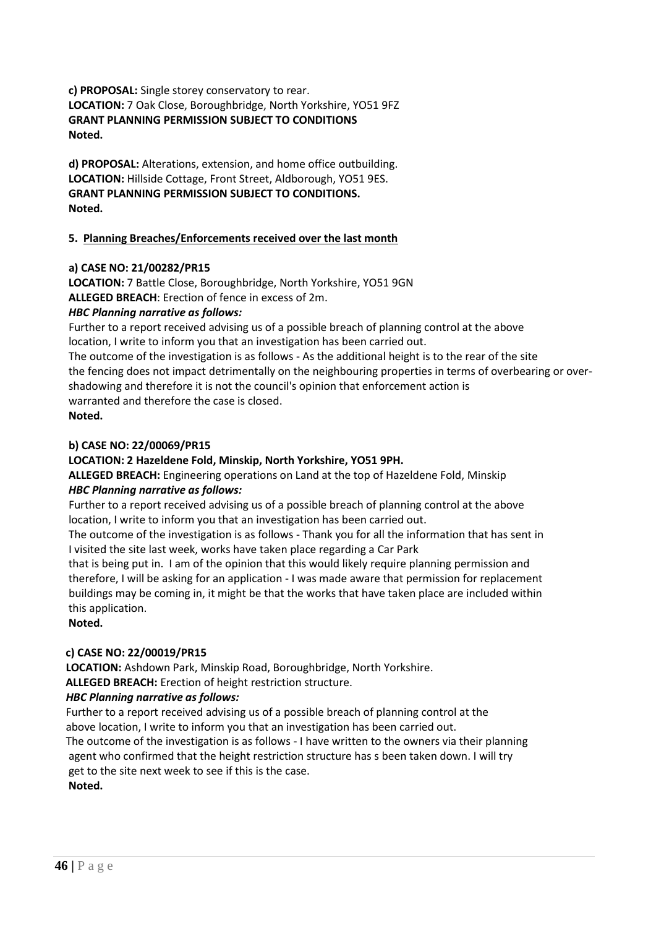**c) PROPOSAL:** Single storey conservatory to rear.  **LOCATION:** 7 Oak Close, Boroughbridge, North Yorkshire, YO51 9FZ  **GRANT PLANNING PERMISSION SUBJECT TO CONDITIONS Noted.**

 **d) PROPOSAL:** Alterations, extension, and home office outbuilding.  **LOCATION:** Hillside Cottage, Front Street, Aldborough, YO51 9ES.  **GRANT PLANNING PERMISSION SUBJECT TO CONDITIONS. Noted.**

## **5. Planning Breaches/Enforcements received over the last month**

## **a) CASE NO: 21/00282/PR15**

 **LOCATION:** 7 Battle Close, Boroughbridge, North Yorkshire, YO51 9GN

 **ALLEGED BREACH**: Erection of fence in excess of 2m.

## *HBC Planning narrative as follows:*

Further to a report received advising us of a possible breach of planning control at the above location, I write to inform you that an investigation has been carried out.

 The outcome of the investigation is as follows - As the additional height is to the rear of the site the fencing does not impact detrimentally on the neighbouring properties in terms of overbearing or over shadowing and therefore it is not the council's opinion that enforcement action is warranted and therefore the case is closed.

**Noted.**

## **b) CASE NO: 22/00069/PR15**

## **LOCATION: 2 Hazeldene Fold, Minskip, North Yorkshire, YO51 9PH.**

 **ALLEGED BREACH:** Engineering operations on Land at the top of Hazeldene Fold, Minskip *HBC Planning narrative as follows:*

Further to a report received advising us of a possible breach of planning control at the above location, I write to inform you that an investigation has been carried out.

 The outcome of the investigation is as follows - Thank you for all the information that has sent in I visited the site last week, works have taken place regarding a Car Park

 that is being put in. I am of the opinion that this would likely require planning permission and therefore, I will be asking for an application - I was made aware that permission for replacement buildings may be coming in, it might be that the works that have taken place are included within this application.

**Noted.**

## **c) CASE NO: 22/00019/PR15**

 **LOCATION:** Ashdown Park, Minskip Road, Boroughbridge, North Yorkshire.

 **ALLEGED BREACH:** Erection of height restriction structure.

## *HBC Planning narrative as follows:*

 Further to a report received advising us of a possible breach of planning control at the above location, I write to inform you that an investigation has been carried out. The outcome of the investigation is as follows - I have written to the owners via their planning agent who confirmed that the height restriction structure has s been taken down. I will try get to the site next week to see if this is the case.

**Noted.**